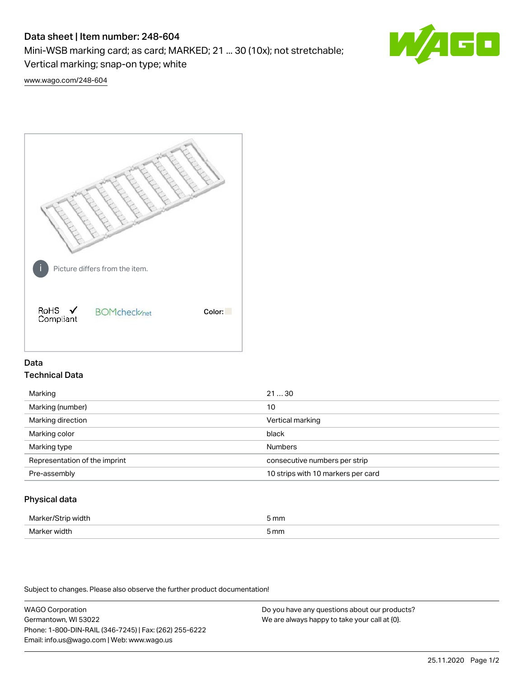# Data sheet | Item number: 248-604

Mini-WSB marking card; as card; MARKED; 21 ... 30 (10x); not stretchable;

Vertical marking; snap-on type; white

60

[www.wago.com/248-604](http://www.wago.com/248-604)



## Data Technical Data

| Marking                       | 2130                               |
|-------------------------------|------------------------------------|
| Marking (number)              | 10                                 |
| Marking direction             | Vertical marking                   |
| Marking color                 | black                              |
| Marking type                  | <b>Numbers</b>                     |
| Representation of the imprint | consecutive numbers per strip      |
| Pre-assembly                  | 10 strips with 10 markers per card |
|                               |                                    |

## Physical data

| лля    | mm   |
|--------|------|
|        |      |
| ۸Æ<br> | 5 mm |

Subject to changes. Please also observe the further product documentation!

WAGO Corporation Germantown, WI 53022 Phone: 1-800-DIN-RAIL (346-7245) | Fax: (262) 255-6222 Email: info.us@wago.com | Web: www.wago.us We are always happy to take your call at {0}.

Do you have any questions about our products?